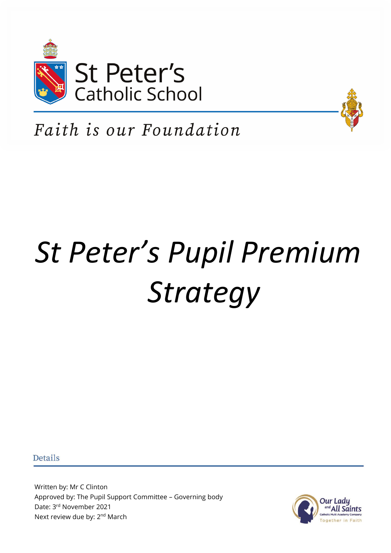



Faith is our Foundation

# *St Peter's Pupil Premium Strategy*

**Details** 

Written by: Mr C Clinton Approved by: The Pupil Support Committee – Governing body Date: 3rd November 2021 Next review due by: 2<sup>nd</sup> March

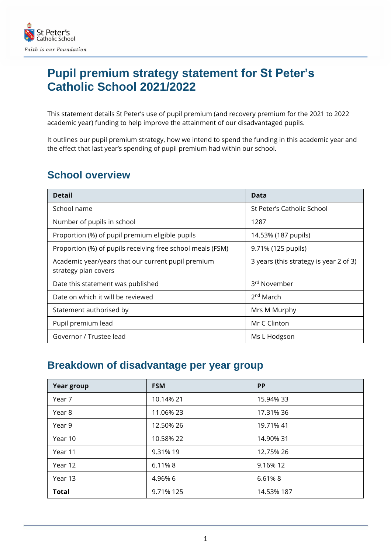

## **Pupil premium strategy statement for St Peter's Catholic School 2021/2022**

This statement details St Peter's use of pupil premium (and recovery premium for the 2021 to 2022 academic year) funding to help improve the attainment of our disadvantaged pupils.

It outlines our pupil premium strategy, how we intend to spend the funding in this academic year and the effect that last year's spending of pupil premium had within our school.

#### **School overview**

| <b>Detail</b>                                                              | Data                                   |
|----------------------------------------------------------------------------|----------------------------------------|
| School name                                                                | St Peter's Catholic School             |
| Number of pupils in school                                                 | 1287                                   |
| Proportion (%) of pupil premium eligible pupils                            | 14.53% (187 pupils)                    |
| Proportion (%) of pupils receiving free school meals (FSM)                 | 9.71% (125 pupils)                     |
| Academic year/years that our current pupil premium<br>strategy plan covers | 3 years (this strategy is year 2 of 3) |
| Date this statement was published                                          | 3rd November                           |
| Date on which it will be reviewed                                          | 2 <sup>nd</sup> March                  |
| Statement authorised by                                                    | Mrs M Murphy                           |
| Pupil premium lead                                                         | Mr C Clinton                           |
| Governor / Trustee lead                                                    | Ms L Hodgson                           |

#### **Breakdown of disadvantage per year group**

| <b>Year group</b> | <b>FSM</b> | <b>PP</b>  |
|-------------------|------------|------------|
| Year 7            | 10.14% 21  | 15.94% 33  |
| Year 8            | 11.06% 23  | 17.31% 36  |
| Year 9            | 12.50% 26  | 19.71% 41  |
| Year 10           | 10.58% 22  | 14.90% 31  |
| Year 11           | 9.31% 19   | 12.75% 26  |
| Year 12           | 6.11%8     | 9.16% 12   |
| Year 13           | 4.96% 6    | 6.61%8     |
| <b>Total</b>      | 9.71% 125  | 14.53% 187 |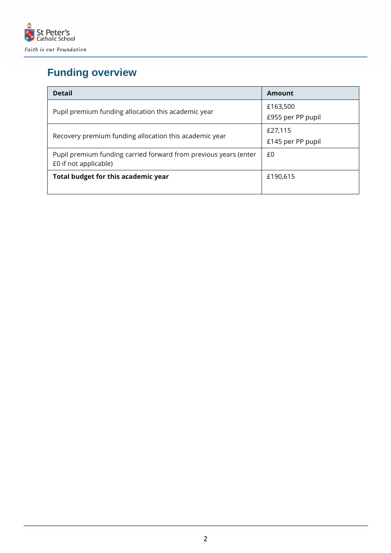

# **Funding overview**

| <b>Detail</b>                                                                             | Amount            |
|-------------------------------------------------------------------------------------------|-------------------|
| Pupil premium funding allocation this academic year                                       | £163,500          |
|                                                                                           | £955 per PP pupil |
|                                                                                           | £27,115           |
| Recovery premium funding allocation this academic year                                    | £145 per PP pupil |
| Pupil premium funding carried forward from previous years (enter<br>£0 if not applicable) | £0                |
| Total budget for this academic year                                                       | £190,615          |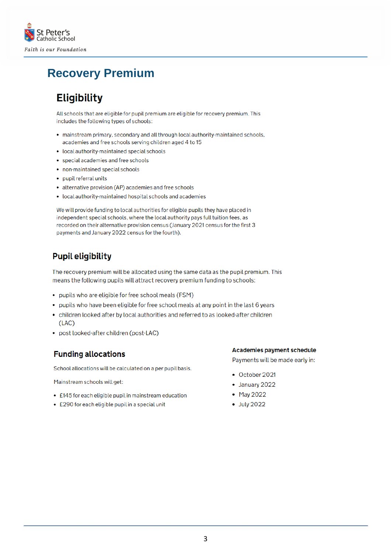

## **Recovery Premium**

#### **Eligibility**

All schools that are eligible for pupil premium are eligible for recovery premium. This includes the following types of schools:

- mainstream primary, secondary and all through local authority-maintained schools, academies and free schools serving children aged 4 to 15
- local authority-maintained special schools
- special academies and free schools
- non-maintained special schools
- pupil referral units
- alternative provision (AP) academies and free schools
- local authority-maintained hospital schools and academies

We will provide funding to local authorities for eligible pupils they have placed in independent special schools, where the local authority pays full tuition fees, as recorded on their alternative provision census (January 2021 census for the first 3 payments and January 2022 census for the fourth).

#### **Pupil eligibility**

The recovery premium will be allocated using the same data as the pupil premium. This means the following pupils will attract recovery premium funding to schools:

- pupils who are eligible for free school meals (FSM)
- pupils who have been eligible for free school meals at any point in the last 6 years
- children looked after by local authorities and referred to as looked-after children  $(LAC)$
- post looked-after children (post-LAC)

#### **Funding allocations**

School allocations will be calculated on a per pupil basis.

Mainstream schools will get:

- £145 for each eligible pupil in mainstream education
- £290 for each eligible pupil in a special unit

**Academies payment schedule** 

Payments will be made early in:

- October 2021
- January 2022
- May 2022
- July 2022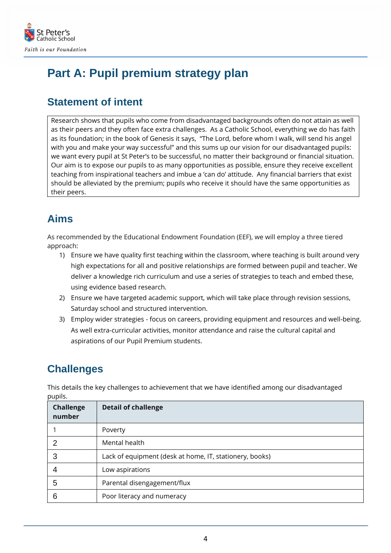

## **Part A: Pupil premium strategy plan**

#### **Statement of intent**

Research shows that pupils who come from disadvantaged backgrounds often do not attain as well as their peers and they often face extra challenges. As a Catholic School, everything we do has faith as its foundation; in the book of Genesis it says, "The Lord, before whom I walk, will send his angel with you and make your way successful" and this sums up our vision for our disadvantaged pupils: we want every pupil at St Peter's to be successful, no matter their background or financial situation. Our aim is to expose our pupils to as many opportunities as possible, ensure they receive excellent teaching from inspirational teachers and imbue a 'can do' attitude. Any financial barriers that exist should be alleviated by the premium; pupils who receive it should have the same opportunities as their peers.

## **Aims**

As recommended by the Educational Endowment Foundation (EEF), we will employ a three tiered approach:

- 1) Ensure we have quality first teaching within the classroom, where teaching is built around very high expectations for all and positive relationships are formed between pupil and teacher. We deliver a knowledge rich curriculum and use a series of strategies to teach and embed these, using evidence based research.
- 2) Ensure we have targeted academic support, which will take place through revision sessions, Saturday school and structured intervention.
- 3) Employ wider strategies focus on careers, providing equipment and resources and well-being. As well extra-curricular activities, monitor attendance and raise the cultural capital and aspirations of our Pupil Premium students.

## **Challenges**

This details the key challenges to achievement that we have identified among our disadvantaged pupils.

| <b>Challenge</b><br>number | <b>Detail of challenge</b>                              |
|----------------------------|---------------------------------------------------------|
|                            | Poverty                                                 |
|                            | Mental health                                           |
| 3                          | Lack of equipment (desk at home, IT, stationery, books) |
|                            | Low aspirations                                         |
| 5                          | Parental disengagement/flux                             |
| 6                          | Poor literacy and numeracy                              |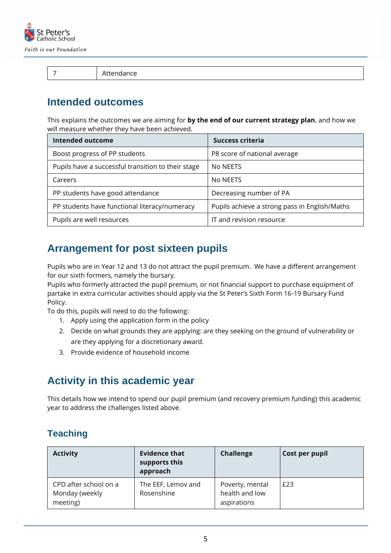

7 Attendance

#### **Intended outcomes**

This explains the outcomes we are aiming for **by the end of our current strategy plan**, and how we will measure whether they have been achieved.

| <b>Intended outcome</b>                            | Success criteria                              |
|----------------------------------------------------|-----------------------------------------------|
| Boost progress of PP students                      | P8 score of national average                  |
| Pupils have a successful transition to their stage | No NEETS                                      |
| Careers                                            | No NEETS                                      |
| PP students have good attendance                   | Decreasing number of PA                       |
| PP students have functional literacy/numeracy      | Pupils achieve a strong pass in English/Maths |
| Pupils are well resources                          | IT and revision resource                      |

#### **Arrangement for post sixteen pupils**

Pupils who are in Year 12 and 13 do not attract the pupil premium. We have a different arrangement for our sixth formers, namely the bursary.

Pupils who formerly attracted the pupil premium, or not financial support to purchase equipment of partake in extra curricular activities should apply via the St Peter's Sixth Form 16-19 Bursary Fund Policy.

To do this, pupils will need to do the following:

- 1. Apply using the application form in the policy
- 2. Decide on what grounds they are applying: are they seeking on the ground of vulnerability or are they applying for a discretionary award.
- 3. Provide evidence of household income

#### **Activity in this academic year**

This details how we intend to spend our pupil premium (and recovery premium funding) this academic year to address the challenges listed above.

#### **Teaching**

| <b>Activity</b>                                     | <b>Evidence that</b><br>supports this<br>approach | <b>Challenge</b>                                 | Cost per pupil |
|-----------------------------------------------------|---------------------------------------------------|--------------------------------------------------|----------------|
| CPD after school on a<br>Monday (weekly<br>meeting) | The EEF, Lemov and<br>Rosenshine                  | Poverty, mental<br>health and low<br>aspirations | £23            |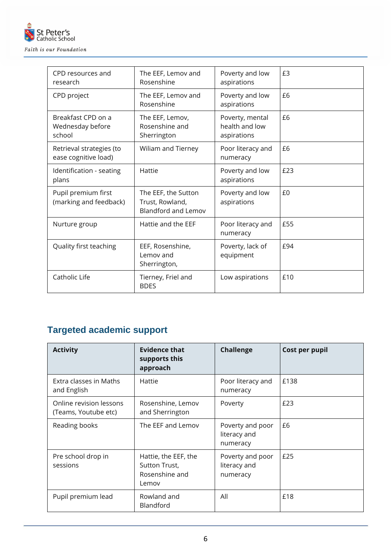

| CPD resources and<br>research                    | The EEF, Lemov and<br>Rosenshine                                     | Poverty and low<br>aspirations                   | £3  |
|--------------------------------------------------|----------------------------------------------------------------------|--------------------------------------------------|-----|
| CPD project                                      | The EEF, Lemov and<br>Rosenshine                                     | Poverty and low<br>aspirations                   | £6  |
| Breakfast CPD on a<br>Wednesday before<br>school | The EEF, Lemov,<br>Rosenshine and<br>Sherrington                     | Poverty, mental<br>health and low<br>aspirations | £6  |
| Retrieval strategies (to<br>ease cognitive load) | Wiliam and Tierney                                                   | Poor literacy and<br>numeracy                    | £6  |
| Identification - seating<br>plans                | Hattie                                                               | Poverty and low<br>aspirations                   | £23 |
| Pupil premium first<br>(marking and feedback)    | The EEF, the Sutton<br>Trust, Rowland,<br><b>Blandford and Lemov</b> | Poverty and low<br>aspirations                   | £0  |
| Nurture group                                    | Hattie and the EEF                                                   | Poor literacy and<br>numeracy                    | £55 |
| Quality first teaching                           | EEF, Rosenshine,<br>Lemov and<br>Sherrington,                        | Poverty, lack of<br>equipment                    | £94 |
| Catholic Life                                    | Tierney, Friel and<br><b>BDES</b>                                    | Low aspirations                                  | £10 |

## **Targeted academic support**

| <b>Activity</b>                                 | <b>Evidence that</b><br>supports this<br>approach                | <b>Challenge</b>                             | Cost per pupil |
|-------------------------------------------------|------------------------------------------------------------------|----------------------------------------------|----------------|
| Extra classes in Maths<br>and English           | Hattie                                                           | Poor literacy and<br>numeracy                | £138           |
| Online revision lessons<br>(Teams, Youtube etc) | Rosenshine, Lemov<br>and Sherrington                             | Poverty                                      | £23            |
| Reading books                                   | The EEF and Lemov                                                | Poverty and poor<br>literacy and<br>numeracy | £6             |
| Pre school drop in<br>sessions                  | Hattie, the EEF, the<br>Sutton Trust,<br>Rosenshine and<br>Lemov | Poverty and poor<br>literacy and<br>numeracy | £25            |
| Pupil premium lead                              | Rowland and<br>Blandford                                         | All                                          | £18            |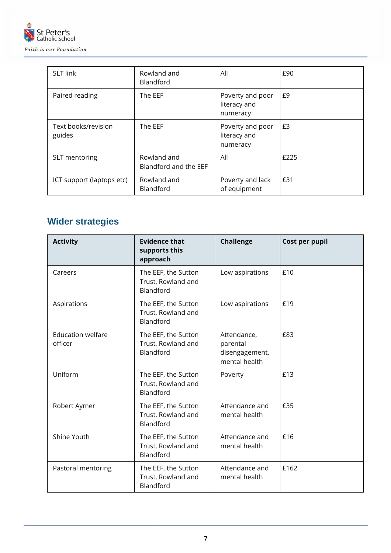

| <b>SLT link</b>               | Rowland and<br><b>Blandford</b>      | All                                          | £90  |
|-------------------------------|--------------------------------------|----------------------------------------------|------|
| Paired reading                | The EEF                              | Poverty and poor<br>literacy and<br>numeracy | £9   |
| Text books/revision<br>guides | The EEF                              | Poverty and poor<br>literacy and<br>numeracy | £3   |
| SLT mentoring                 | Rowland and<br>Blandford and the EEF | All                                          | £225 |
| ICT support (laptops etc)     | Rowland and<br><b>Blandford</b>      | Poverty and lack<br>of equipment             | £31  |

#### **Wider strategies**

| <b>Activity</b>                     | <b>Evidence that</b><br>supports this<br>approach      | <b>Challenge</b>                                           | Cost per pupil |
|-------------------------------------|--------------------------------------------------------|------------------------------------------------------------|----------------|
| Careers                             | The EEF, the Sutton<br>Trust, Rowland and<br>Blandford | Low aspirations                                            | £10            |
| Aspirations                         | The EEF, the Sutton<br>Trust, Rowland and<br>Blandford | Low aspirations                                            | £19            |
| <b>Education welfare</b><br>officer | The EEF, the Sutton<br>Trust, Rowland and<br>Blandford | Attendance,<br>parental<br>disengagement,<br>mental health | £83            |
| Uniform                             | The EEF, the Sutton<br>Trust, Rowland and<br>Blandford | Poverty                                                    | £13            |
| Robert Aymer                        | The EEF, the Sutton<br>Trust, Rowland and<br>Blandford | Attendance and<br>mental health                            | £35            |
| Shine Youth                         | The EEF, the Sutton<br>Trust, Rowland and<br>Blandford | Attendance and<br>mental health                            | £16            |
| Pastoral mentoring                  | The EEF, the Sutton<br>Trust, Rowland and<br>Blandford | Attendance and<br>mental health                            | £162           |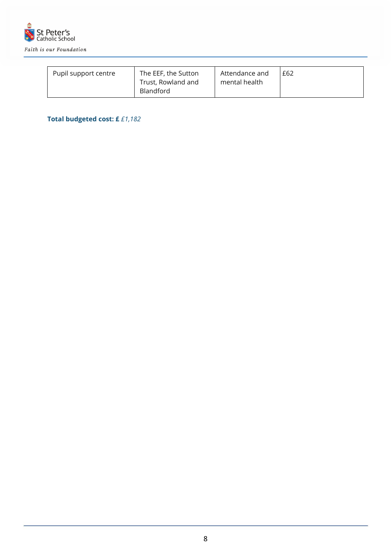

| Pupil support centre | The EEF, the Sutton<br>Trust, Rowland and | Attendance and<br>mental health | £62 |
|----------------------|-------------------------------------------|---------------------------------|-----|
|                      | <b>Blandford</b>                          |                                 |     |

#### **Total budgeted cost: £** *£1,182*